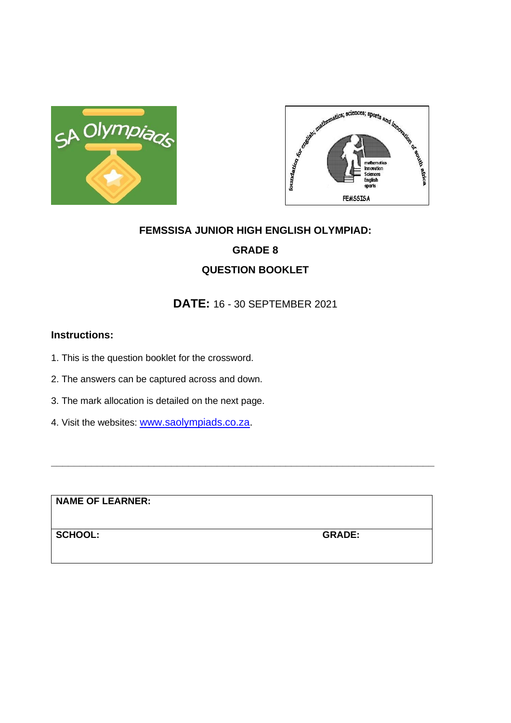



# **FEMSSISA JUNIOR HIGH ENGLISH OLYMPIAD: GRADE 8 QUESTION BOOKLET**

### **DATE:** 16 - 30 SEPTEMBER 2021

**\_\_\_\_\_\_\_\_\_\_\_\_\_\_\_\_\_\_\_\_\_\_\_\_\_\_\_\_\_\_\_\_\_\_\_\_\_\_\_\_\_\_\_\_\_\_\_\_\_\_\_\_\_\_\_\_\_\_\_\_\_\_\_\_\_\_\_**

#### **Instructions:**

- 1. This is the question booklet for the crossword.
- 2. The answers can be captured across and down.
- 3. The mark allocation is detailed on the next page.
- 4. Visit the websites: [www.saolympiads.co.za.](http://www.saolympiads.co.za/)

**NAME OF LEARNER:**

**SCHOOL: GRADE:**